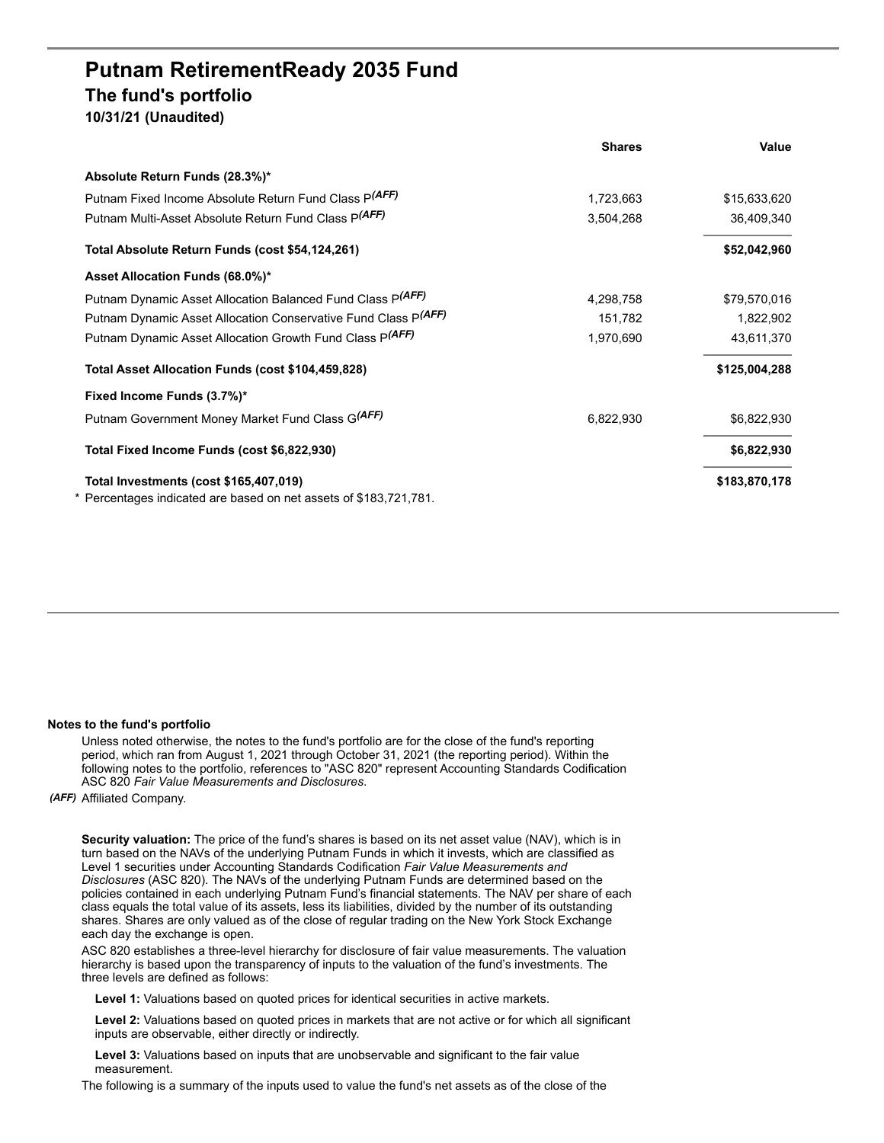## **Putnam RetirementReady 2035 Fund The fund's portfolio 10/31/21 (Unaudited)**

|                                                                                                             | <b>Shares</b> | Value         |
|-------------------------------------------------------------------------------------------------------------|---------------|---------------|
| Absolute Return Funds (28.3%)*                                                                              |               |               |
| Putnam Fixed Income Absolute Return Fund Class P(AFF)                                                       | 1,723,663     | \$15,633,620  |
| Putnam Multi-Asset Absolute Return Fund Class P(AFF)                                                        | 3,504,268     | 36,409,340    |
| Total Absolute Return Funds (cost \$54,124,261)                                                             |               | \$52,042,960  |
| Asset Allocation Funds (68.0%)*                                                                             |               |               |
| Putnam Dynamic Asset Allocation Balanced Fund Class P(AFF)                                                  | 4,298,758     | \$79,570,016  |
| Putnam Dynamic Asset Allocation Conservative Fund Class P(AFF)                                              | 151,782       | 1,822,902     |
| Putnam Dynamic Asset Allocation Growth Fund Class P(AFF)                                                    | 1,970,690     | 43,611,370    |
| Total Asset Allocation Funds (cost \$104,459,828)                                                           |               | \$125,004,288 |
| Fixed Income Funds (3.7%)*                                                                                  |               |               |
| Putnam Government Money Market Fund Class G(AFF)                                                            | 6,822,930     | \$6,822,930   |
| Total Fixed Income Funds (cost \$6,822,930)                                                                 |               | \$6,822,930   |
| Total Investments (cost \$165,407,019)<br>* Percentages indicated are based on net assets of \$183,721,781. |               | \$183,870,178 |
|                                                                                                             |               |               |

## **Notes to the fund's portfolio**

Unless noted otherwise, the notes to the fund's portfolio are for the close of the fund's reporting period, which ran from August 1, 2021 through October 31, 2021 (the reporting period). Within the following notes to the portfolio, references to "ASC 820" represent Accounting Standards Codification ASC 820 *Fair Value Measurements and Disclosures*.

*(AFF)* Affiliated Company.

**Security valuation:** The price of the fund's shares is based on its net asset value (NAV), which is in turn based on the NAVs of the underlying Putnam Funds in which it invests, which are classified as Level 1 securities under Accounting Standards Codification *Fair Value Measurements and Disclosures* (ASC 820). The NAVs of the underlying Putnam Funds are determined based on the policies contained in each underlying Putnam Fund's financial statements. The NAV per share of each class equals the total value of its assets, less its liabilities, divided by the number of its outstanding shares. Shares are only valued as of the close of regular trading on the New York Stock Exchange each day the exchange is open.

ASC 820 establishes a three-level hierarchy for disclosure of fair value measurements. The valuation hierarchy is based upon the transparency of inputs to the valuation of the fund's investments. The three levels are defined as follows:

**Level 1:** Valuations based on quoted prices for identical securities in active markets.

**Level 2:** Valuations based on quoted prices in markets that are not active or for which all significant inputs are observable, either directly or indirectly.

**Level 3:** Valuations based on inputs that are unobservable and significant to the fair value measurement.

The following is a summary of the inputs used to value the fund's net assets as of the close of the